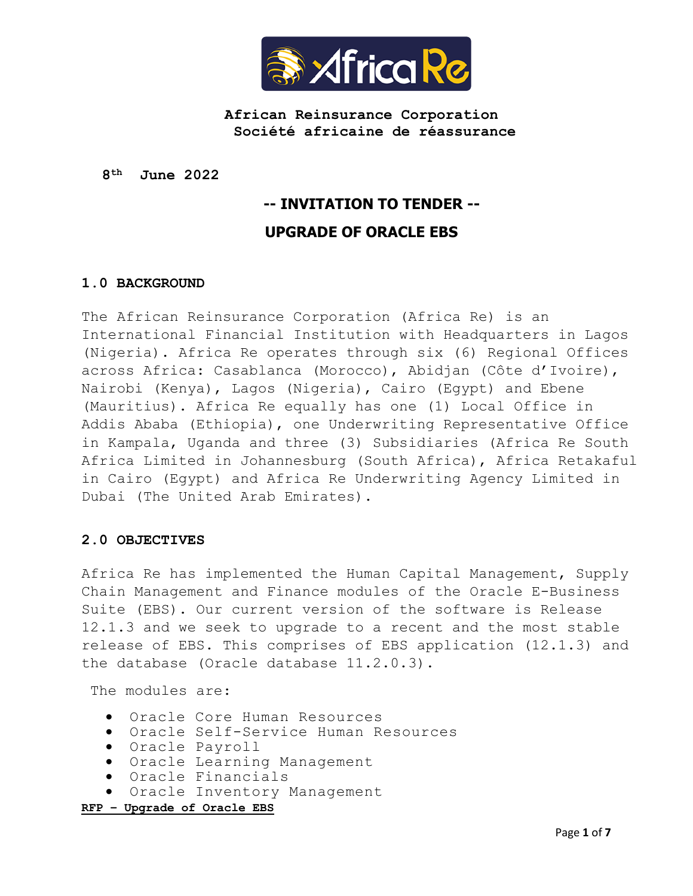

**African Reinsurance Corporation Société africaine de réassurance**

**8 th June 2022**

# **-- INVITATION TO TENDER -- UPGRADE OF ORACLE EBS**

## **1.0 BACKGROUND**

The African Reinsurance Corporation (Africa Re) is an International Financial Institution with Headquarters in Lagos (Nigeria). Africa Re operates through six (6) Regional Offices across Africa: Casablanca (Morocco), Abidjan (Côte d'Ivoire), Nairobi (Kenya), Lagos (Nigeria), Cairo (Egypt) and Ebene (Mauritius). Africa Re equally has one (1) Local Office in Addis Ababa (Ethiopia), one Underwriting Representative Office in Kampala, Uganda and three (3) Subsidiaries (Africa Re South Africa Limited in Johannesburg (South Africa), Africa Retakaful in Cairo (Egypt) and Africa Re Underwriting Agency Limited in Dubai (The United Arab Emirates).

#### **2.0 OBJECTIVES**

Africa Re has implemented the Human Capital Management, Supply Chain Management and Finance modules of the Oracle E-Business Suite (EBS). Our current version of the software is Release 12.1.3 and we seek to upgrade to a recent and the most stable release of EBS. This comprises of EBS application (12.1.3) and the database (Oracle database 11.2.0.3).

The modules are:

- Oracle Core Human Resources
- Oracle Self-Service Human Resources
- Oracle Payroll
- Oracle Learning Management
- Oracle Financials
- Oracle Inventory Management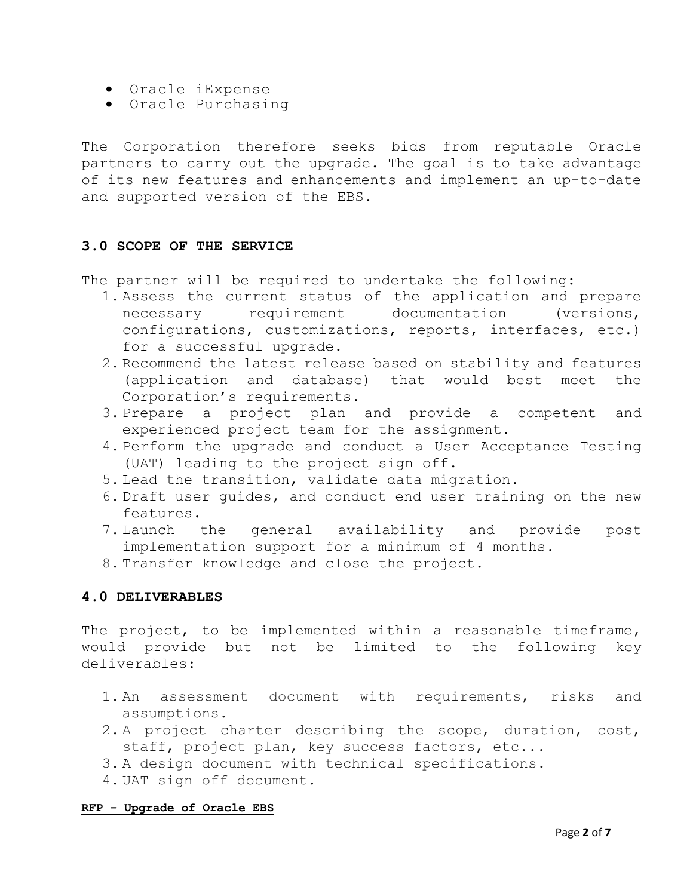- Oracle iExpense
- Oracle Purchasing

The Corporation therefore seeks bids from reputable Oracle partners to carry out the upgrade. The goal is to take advantage of its new features and enhancements and implement an up-to-date and supported version of the EBS.

## **3.0 SCOPE OF THE SERVICE**

The partner will be required to undertake the following:

- 1. Assess the current status of the application and prepare necessary requirement documentation (versions, configurations, customizations, reports, interfaces, etc.) for a successful upgrade.
- 2. Recommend the latest release based on stability and features (application and database) that would best meet the Corporation's requirements.
- 3. Prepare a project plan and provide a competent and experienced project team for the assignment.
- 4. Perform the upgrade and conduct a User Acceptance Testing (UAT) leading to the project sign off.
- 5. Lead the transition, validate data migration.
- 6. Draft user guides, and conduct end user training on the new features.
- 7. Launch the general availability and provide post implementation support for a minimum of 4 months.
- 8. Transfer knowledge and close the project.

# **4.0 DELIVERABLES**

The project, to be implemented within a reasonable timeframe, would provide but not be limited to the following key deliverables:

- 1. An assessment document with requirements, risks and assumptions.
- 2. A project charter describing the scope, duration, cost, staff, project plan, key success factors, etc...
- 3. A design document with technical specifications.
- 4. UAT sign off document.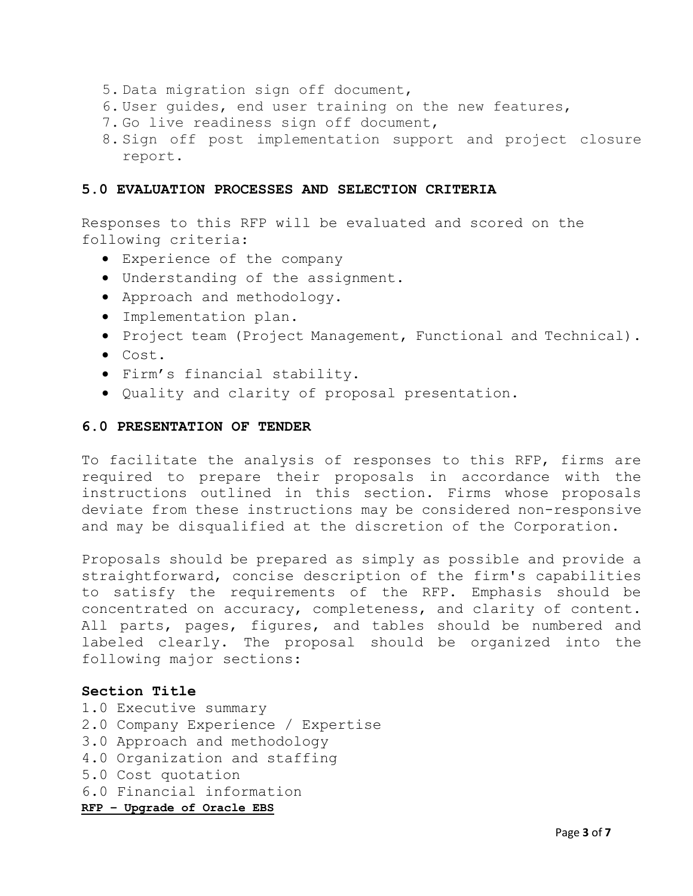- 5. Data migration sign off document,
- 6. User guides, end user training on the new features,
- 7. Go live readiness sign off document,
- 8. Sign off post implementation support and project closure report.

## **5.0 EVALUATION PROCESSES AND SELECTION CRITERIA**

Responses to this RFP will be evaluated and scored on the following criteria:

- Experience of the company
- Understanding of the assignment.
- Approach and methodology.
- Implementation plan.
- **•** Project team (Project Management, Functional and Technical).
- Cost.
- Firm's financial stability.
- Quality and clarity of proposal presentation.

### **6.0 PRESENTATION OF TENDER**

To facilitate the analysis of responses to this RFP, firms are required to prepare their proposals in accordance with the instructions outlined in this section. Firms whose proposals deviate from these instructions may be considered non-responsive and may be disqualified at the discretion of the Corporation.

Proposals should be prepared as simply as possible and provide a straightforward, concise description of the firm's capabilities to satisfy the requirements of the RFP. Emphasis should be concentrated on accuracy, completeness, and clarity of content. All parts, pages, figures, and tables should be numbered and labeled clearly. The proposal should be organized into the following major sections:

## **Section Title**

**RFP – Upgrade of Oracle EBS** 1.0 Executive summary 2.0 Company Experience / Expertise 3.0 Approach and methodology 4.0 Organization and staffing 5.0 Cost quotation 6.0 Financial information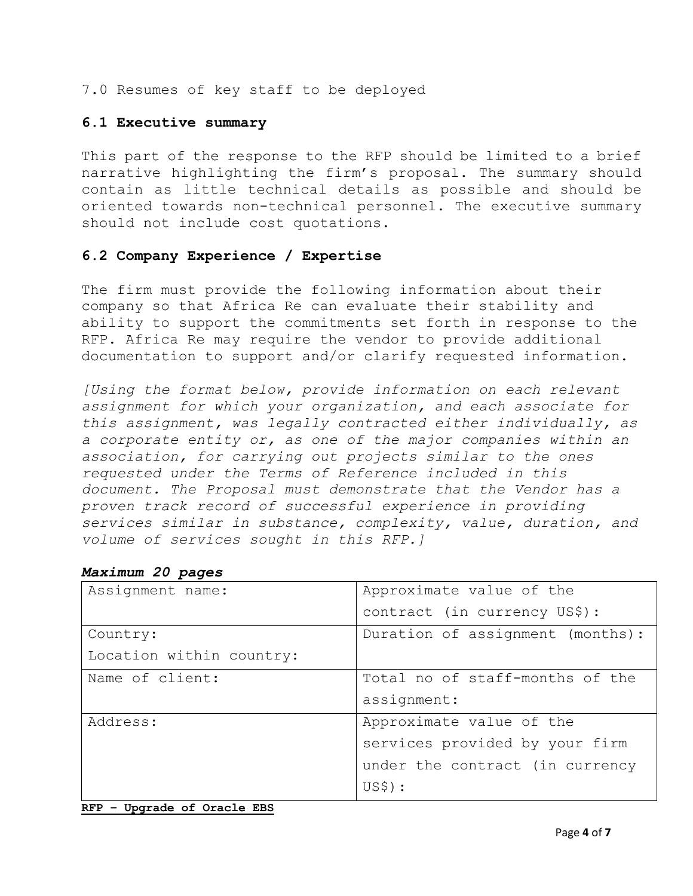7.0 Resumes of key staff to be deployed

## **6.1 Executive summary**

This part of the response to the RFP should be limited to a brief narrative highlighting the firm's proposal. The summary should contain as little technical details as possible and should be oriented towards non-technical personnel. The executive summary should not include cost quotations.

## **6.2 Company Experience / Expertise**

The firm must provide the following information about their company so that Africa Re can evaluate their stability and ability to support the commitments set forth in response to the RFP. Africa Re may require the vendor to provide additional documentation to support and/or clarify requested information.

*[Using the format below, provide information on each relevant assignment for which your organization, and each associate for this assignment, was legally contracted either individually, as a corporate entity or, as one of the major companies within an association, for carrying out projects similar to the ones requested under the Terms of Reference included in this document. The Proposal must demonstrate that the Vendor has a proven track record of successful experience in providing services similar in substance, complexity, value, duration, and volume of services sought in this RFP.]*

| Assignment name:         | Approximate value of the         |  |
|--------------------------|----------------------------------|--|
|                          | contract (in currency US\$):     |  |
| Country:                 | Duration of assignment (months): |  |
| Location within country: |                                  |  |
| Name of client:          | Total no of staff-months of the  |  |
|                          | assignment:                      |  |
| Address:                 | Approximate value of the         |  |
|                          | services provided by your firm   |  |
|                          | under the contract (in currency  |  |
|                          | US\$) :                          |  |

## *Maximum 20 pages*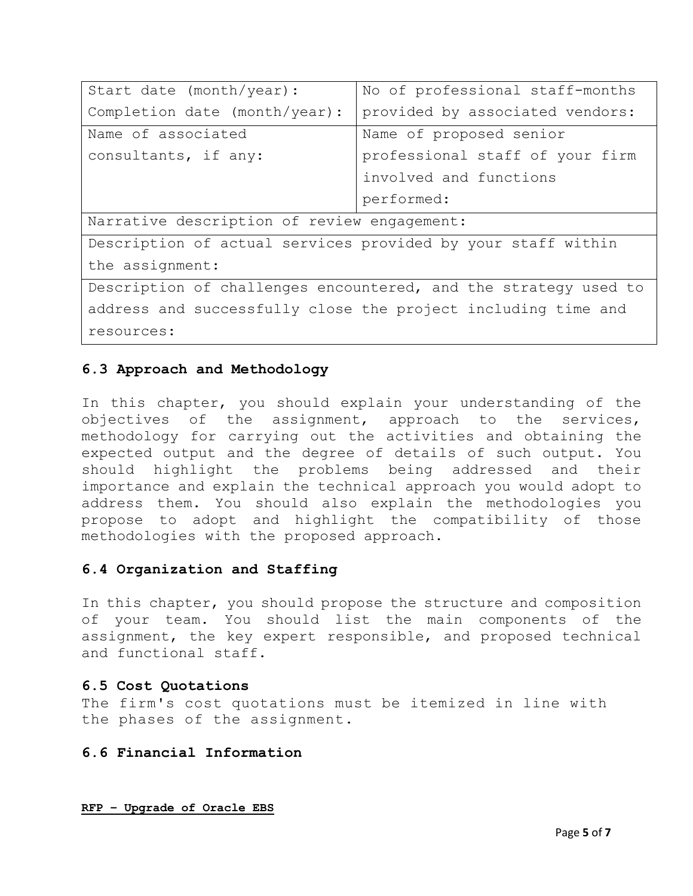| Start date (month/year):                                        | No of professional staff-months |  |  |
|-----------------------------------------------------------------|---------------------------------|--|--|
| Completion date (month/year):                                   | provided by associated vendors: |  |  |
| Name of associated                                              | Name of proposed senior         |  |  |
| consultants, if any:                                            | professional staff of your firm |  |  |
|                                                                 | involved and functions          |  |  |
|                                                                 | performed:                      |  |  |
| Narrative description of review engagement:                     |                                 |  |  |
| Description of actual services provided by your staff within    |                                 |  |  |
| the assignment:                                                 |                                 |  |  |
| Description of challenges encountered, and the strategy used to |                                 |  |  |
| address and successfully close the project including time and   |                                 |  |  |

resources:

# **6.3 Approach and Methodology**

In this chapter, you should explain your understanding of the objectives of the assignment, approach to the services, methodology for carrying out the activities and obtaining the expected output and the degree of details of such output. You should highlight the problems being addressed and their importance and explain the technical approach you would adopt to address them. You should also explain the methodologies you propose to adopt and highlight the compatibility of those methodologies with the proposed approach.

# **6.4 Organization and Staffing**

In this chapter, you should propose the structure and composition of your team. You should list the main components of the assignment, the key expert responsible, and proposed technical and functional staff.

## **6.5 Cost Quotations**

The firm's cost quotations must be itemized in line with the phases of the assignment.

## **6.6 Financial Information**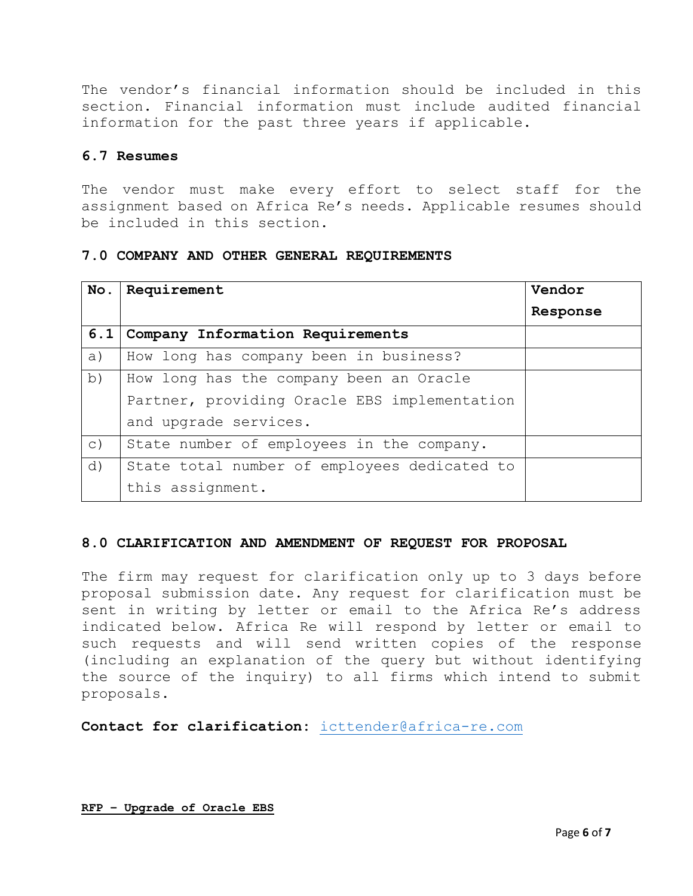The vendor's financial information should be included in this section. Financial information must include audited financial information for the past three years if applicable.

# **6.7 Resumes**

The vendor must make every effort to select staff for the assignment based on Africa Re's needs. Applicable resumes should be included in this section.

## **7.0 COMPANY AND OTHER GENERAL REQUIREMENTS**

| No.       | Requirement                                  | Vendor   |
|-----------|----------------------------------------------|----------|
|           |                                              | Response |
| 6.1       | Company Information Requirements             |          |
| a)        | How long has company been in business?       |          |
| b)        | How long has the company been an Oracle      |          |
|           | Partner, providing Oracle EBS implementation |          |
|           | and upgrade services.                        |          |
| $\circ$ ) | State number of employees in the company.    |          |
| d)        | State total number of employees dedicated to |          |
|           | this assignment.                             |          |

## **8.0 CLARIFICATION AND AMENDMENT OF REQUEST FOR PROPOSAL**

The firm may request for clarification only up to 3 days before proposal submission date. Any request for clarification must be sent in writing by letter or email to the Africa Re's address indicated below. Africa Re will respond by letter or email to such requests and will send written copies of the response (including an explanation of the query but without identifying the source of the inquiry) to all firms which intend to submit proposals.

**Contact for clarification:** [icttender@africa-re.com](mailto:icttender@africa-re.com)